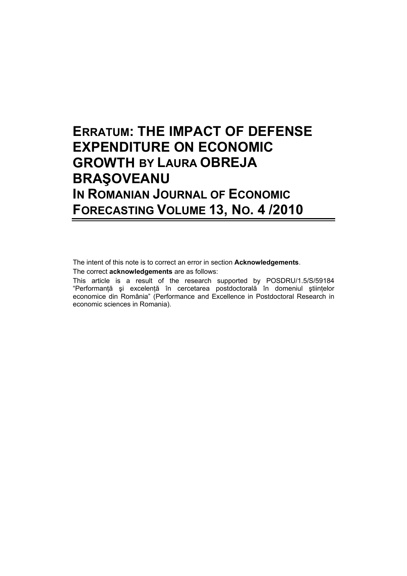## **ERRATUM: THE IMPACT OF DEFENSE EXPENDITURE ON ECONOMIC GROWTH BY LAURA OBREJA BRAŞOVEANU IN ROMANIAN JOURNAL OF ECONOMIC FORECASTING VOLUME 13, NO. 4 /2010**

The intent of this note is to correct an error in section **Acknowledgements**.

The correct **acknowledgements** are as follows:

This article is a result of the research supported by POSDRU/1.5/S/59184 "Performanţă şi excelenţă în cercetarea postdoctorală în domeniul ştiinţelor economice din România" (Performance and Excellence in Postdoctoral Research in economic sciences in Romania).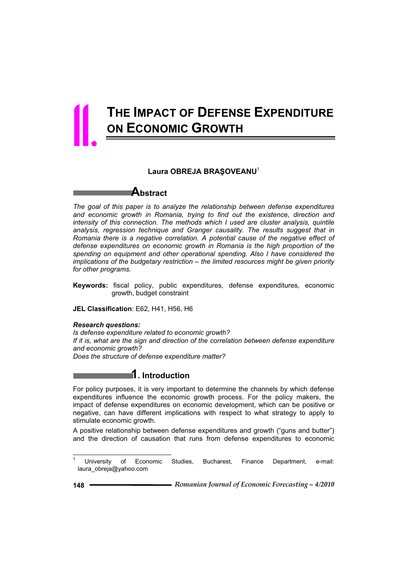# **THE IMPACT OF DEFENSE EXPENDITURE ON ECONOMIC GROWTH** 11.

### Laura OBREJA BRASOVEANU<sup>1</sup>

### **Abstract**

*The goal of this paper is to analyze the relationship between defense expenditures and economic growth in Romania, trying to find out the existence, direction and intensity of this connection. The methods which I used are cluster analysis, quintile analysis, regression technique and Granger causality. The results suggest that in Romania there is a negative correlation. A potential cause of the negative effect of defense expenditures on economic growth in Romania is the high proportion of the spending on equipment and other operational spending. Also I have considered the implications of the budgetary restriction – the limited resources might be given priority for other programs.* 

**Keywords:** fiscal policy, public expenditures, defense expenditures, economic growth, budget constraint

**JEL Classification**: E62, H41, H56, H6

*Research questions: Is defense expenditure related to economic growth? If it is, what are the sign and direction of the correlation between defense expenditure and economic growth? Does the structure of defense expenditure matter?* 

### **1. Introduction**

For policy purposes, it is very important to determine the channels by which defense expenditures influence the economic growth process. For the policy makers, the impact of defense expenditures on economic development, which can be positive or negative, can have different implications with respect to what strategy to apply to stimulate economic growth.

A positive relationship between defense expenditures and growth ("guns and butter") and the direction of causation that runs from defense expenditures to economic

<sup>1</sup> University of Economic Studies, Bucharest, Finance Department, e-mail: laura\_obreja@yahoo.com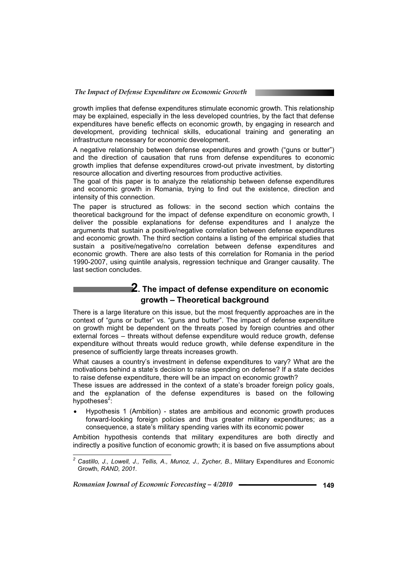growth implies that defense expenditures stimulate economic growth. This relationship may be explained, especially in the less developed countries, by the fact that defense expenditures have benefic effects on economic growth, by engaging in research and development, providing technical skills, educational training and generating an infrastructure necessary for economic development.

A negative relationship between defense expenditures and growth ("guns or butter") and the direction of causation that runs from defense expenditures to economic growth implies that defense expenditures crowd-out private investment, by distorting resource allocation and diverting resources from productive activities.

The goal of this paper is to analyze the relationship between defense expenditures and economic growth in Romania, trying to find out the existence, direction and intensity of this connection.

The paper is structured as follows: in the second section which contains the theoretical background for the impact of defense expenditure on economic growth, I deliver the possible explanations for defense expenditures and I analyze the arguments that sustain a positive/negative correlation between defense expenditures and economic growth. The third section contains a listing of the empirical studies that sustain a positive/negative/no correlation between defense expenditures and economic growth. There are also tests of this correlation for Romania in the period 1990-2007, using quintile analysis, regression technique and Granger causality. The last section concludes.

### **2. The impact of defense expenditure on economic growth – Theoretical background**

There is a large literature on this issue, but the most frequently approaches are in the context of "guns or butter" vs. "guns and butter". The impact of defense expenditure on growth might be dependent on the threats posed by foreign countries and other external forces – threats without defense expenditure would reduce growth, defense expenditure without threats would reduce growth, while defense expenditure in the presence of sufficiently large threats increases growth.

What causes a country's investment in defense expenditures to vary? What are the motivations behind a state's decision to raise spending on defense? If a state decides to raise defense expenditure, there will be an impact on economic growth?

These issues are addressed in the context of a state's broader foreign policy goals, and the explanation of the defense expenditures is based on the following hypotheses<sup>2</sup>:

• Hypothesis 1 (Ambition) - states are ambitious and economic growth produces forward-looking foreign policies and thus greater military expenditures; as a consequence, a state's military spending varies with its economic power

Ambition hypothesis contends that military expenditures are both directly and indirectly a positive function of economic growth; it is based on five assumptions about

*Romanian Journal of Economic Forecasting – 4/2010* **149**

*<sup>2</sup> Castillo, J., Lowell, J., Tellis, A., Munoz, J., Zycher, B.,* Military Expenditures and Economic Growth*, RAND, 2001.*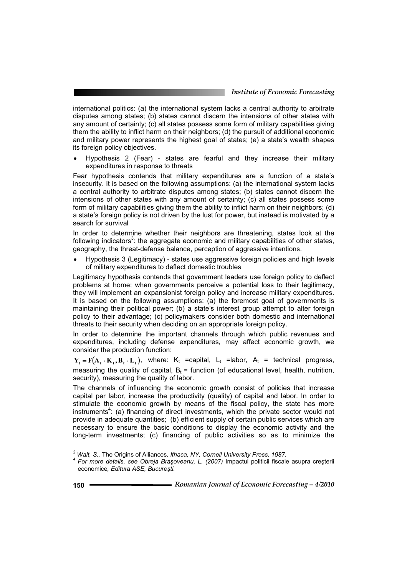international politics: (a) the international system lacks a central authority to arbitrate disputes among states; (b) states cannot discern the intensions of other states with any amount of certainty; (c) all states possess some form of military capabilities giving them the ability to inflict harm on their neighbors; (d) the pursuit of additional economic and military power represents the highest goal of states; (e) a state's wealth shapes its foreign policy objectives.

• Hypothesis 2 (Fear) - states are fearful and they increase their military expenditures in response to threats

Fear hypothesis contends that military expenditures are a function of a state's insecurity. It is based on the following assumptions: (a) the international system lacks a central authority to arbitrate disputes among states; (b) states cannot discern the intensions of other states with any amount of certainty; (c) all states possess some form of military capabilities giving them the ability to inflict harm on their neighbors; (d) a state's foreign policy is not driven by the lust for power, but instead is motivated by a search for survival

In order to determine whether their neighbors are threatening, states look at the following indicators<sup>3</sup>: the aggregate economic and military capabilities of other states, geography, the threat-defense balance, perception of aggressive intentions.

Hypothesis 3 (Legitimacy) - states use aggressive foreign policies and high levels of military expenditures to deflect domestic troubles

Legitimacy hypothesis contends that government leaders use foreign policy to deflect problems at home; when governments perceive a potential loss to their legitimacy, they will implement an expansionist foreign policy and increase military expenditures. It is based on the following assumptions: (a) the foremost goal of governments is maintaining their political power; (b) a state's interest group attempt to alter foreign policy to their advantage; (c) policymakers consider both domestic and international threats to their security when deciding on an appropriate foreign policy.

In order to determine the important channels through which public revenues and expenditures, including defense expenditures, may affect economic growth, we consider the production function:

 $Y_t = F(A_t \cdot K_t, B_t \cdot L_t)$ , where:  $K_t$  =capital,  $L_t$  =labor,  $A_t$  = technical progress, measuring the quality of capital,  $B_t =$  function (of educational level, health, nutrition, security), measuring the quality of labor.

The channels of influencing the economic growth consist of policies that increase capital per labor, increase the productivity (quality) of capital and labor. In order to stimulate the economic growth by means of the fiscal policy, the state has more instruments<sup>4</sup>: (a) financing of direct investments, which the private sector would not provide in adequate quantities; (b) efficient supply of certain public services which are necessary to ensure the basic conditions to display the economic activity and the long-term investments; (c) financing of public activities so as to minimize the

<sup>&</sup>lt;sup>3</sup> Walt, S., The Origins of Alliances, Ithaca, NY, Cornell University Press, 1987.<br><sup>4</sup> Eer mare details, ass Ohraja Pressuesnu, L. (2007) Importul politicii fiscala

<sup>&</sup>lt;sup>4</sup> For more details, see Obreja Brașoveanu, L. (2007) Impactul politicii fiscale asupra creșterii economice*, Editura ASE, Bucureúti.*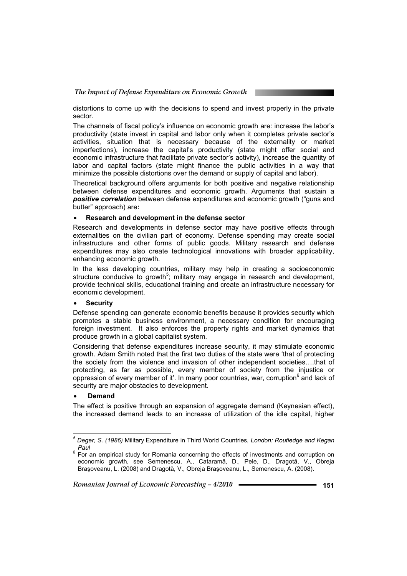distortions to come up with the decisions to spend and invest properly in the private sector.

The channels of fiscal policy's influence on economic growth are: increase the labor's productivity (state invest in capital and labor only when it completes private sector's activities, situation that is necessary because of the externality or market imperfections), increase the capital's productivity (state might offer social and economic infrastructure that facilitate private sector's activity), increase the quantity of labor and capital factors (state might finance the public activities in a way that minimize the possible distortions over the demand or supply of capital and labor).

Theoretical background offers arguments for both positive and negative relationship between defense expenditures and economic growth. Arguments that sustain a *positive correlation* between defense expenditures and economic growth ("guns and butter" approach) are**:**

### x **Research and development in the defense sector**

Research and developments in defense sector may have positive effects through externalities on the civilian part of economy. Defense spending may create social infrastructure and other forms of public goods. Military research and defense expenditures may also create technological innovations with broader applicability, enhancing economic growth.

In the less developing countries, military may help in creating a socioeconomic structure conducive to growth<sup>5</sup>; military may engage in research and development, provide technical skills, educational training and create an infrastructure necessary for economic development.

### **Security**

Defense spending can generate economic benefits because it provides security which promotes a stable business environment, a necessary condition for encouraging foreign investment. It also enforces the property rights and market dynamics that produce growth in a global capitalist system.

Considering that defense expenditures increase security, it may stimulate economic growth. Adam Smith noted that the first two duties of the state were 'that of protecting the society from the violence and invasion of other independent societies….that of protecting, as far as possible, every member of society from the injustice or oppression of every member of it'. In many poor countries, war, corruption  $6$  and lack of security are major obstacles to development.

### x **Demand**

 $\overline{a}$ 

The effect is positive through an expansion of aggregate demand (Keynesian effect), the increased demand leads to an increase of utilization of the idle capital, higher

*<sup>5</sup> Deger, S. (1986)* Military Expenditure in Third World Countries*, London: Routledge and Kegan*  Paul

For an empirical study for Romania concerning the effects of investments and corruption on economic growth, see Semenescu, A., Cataramă, D., Pele, D., Dragotă, V., Obreja Brasoveanu, L. (2008) and Dragotă, V., Obreja Brasoveanu, L., Semenescu, A. (2008).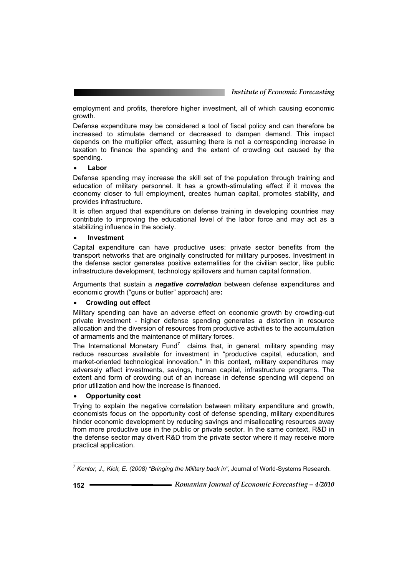employment and profits, therefore higher investment, all of which causing economic growth.

Defense expenditure may be considered a tool of fiscal policy and can therefore be increased to stimulate demand or decreased to dampen demand. This impact depends on the multiplier effect, assuming there is not a corresponding increase in taxation to finance the spending and the extent of crowding out caused by the spending.

### Labor

Defense spending may increase the skill set of the population through training and education of military personnel. It has a growth-stimulating effect if it moves the economy closer to full employment, creates human capital, promotes stability, and provides infrastructure.

It is often argued that expenditure on defense training in developing countries may contribute to improving the educational level of the labor force and may act as a stabilizing influence in the society.

### x **Investment**

Capital expenditure can have productive uses: private sector benefits from the transport networks that are originally constructed for military purposes. Investment in the defense sector generates positive externalities for the civilian sector, like public infrastructure development, technology spillovers and human capital formation.

Arguments that sustain a *negative correlation* between defense expenditures and economic growth ("guns or butter" approach) are**:**

### x **Crowding out effect**

Military spending can have an adverse effect on economic growth by crowding-out private investment - higher defense spending generates a distortion in resource allocation and the diversion of resources from productive activities to the accumulation of armaments and the maintenance of military forces.

The International Monetary Fund<sup>7</sup> claims that, in general, military spending may reduce resources available for investment in "productive capital, education, and market-oriented technological innovation." In this context, military expenditures may adversely affect investments, savings, human capital, infrastructure programs. The extent and form of crowding out of an increase in defense spending will depend on prior utilization and how the increase is financed.

### x **Opportunity cost**

Trying to explain the negative correlation between military expenditure and growth, economists focus on the opportunity cost of defense spending, military expenditures hinder economic development by reducing savings and misallocating resources away from more productive use in the public or private sector. In the same context, R&D in the defense sector may divert R&D from the private sector where it may receive more practical application.

 $\overline{a}$ 

*<sup>7</sup> Kentor, J., Kick, E. (2008) "Bringing the Military back in",* Journal of World-Systems Research*.*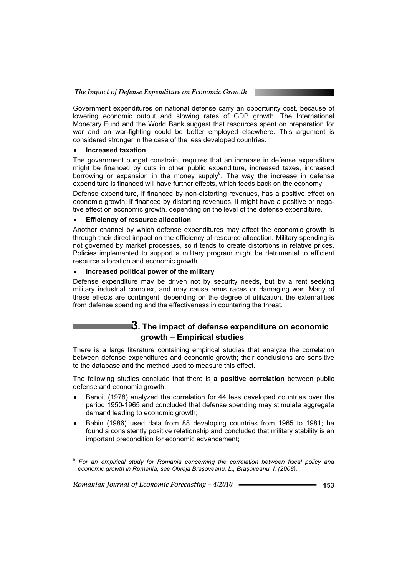Government expenditures on national defense carry an opportunity cost, because of lowering economic output and slowing rates of GDP growth. The International Monetary Fund and the World Bank suggest that resources spent on preparation for war and on war-fighting could be better employed elsewhere. This argument is considered stronger in the case of the less developed countries.

### **•** Increased taxation

The government budget constraint requires that an increase in defense expenditure might be financed by cuts in other public expenditure, increased taxes, increased borrowing or expansion in the money supply<sup>8</sup>. The way the increase in defense expenditure is financed will have further effects, which feeds back on the economy.

Defense expenditure, if financed by non-distorting revenues, has a positive effect on economic growth; if financed by distorting revenues, it might have a positive or negative effect on economic growth, depending on the level of the defense expenditure.

### **Efficiency of resource allocation**

Another channel by which defense expenditures may affect the economic growth is through their direct impact on the efficiency of resource allocation. Military spending is not governed by market processes, so it tends to create distortions in relative prices. Policies implemented to support a military program might be detrimental to efficient resource allocation and economic growth.

### x **Increased political power of the military**

Defense expenditure may be driven not by security needs, but by a rent seeking military industrial complex, and may cause arms races or damaging war. Many of these effects are contingent, depending on the degree of utilization, the externalities from defense spending and the effectiveness in countering the threat.

### **3. The impact of defense expenditure on economic growth – Empirical studies**

There is a large literature containing empirical studies that analyze the correlation between defense expenditures and economic growth; their conclusions are sensitive to the database and the method used to measure this effect.

The following studies conclude that there is **a positive correlation** between public defense and economic growth:

- Benoit (1978) analyzed the correlation for 44 less developed countries over the period 1950-1965 and concluded that defense spending may stimulate aggregate demand leading to economic growth;
- Babin (1986) used data from 88 developing countries from 1965 to 1981; he found a consistently positive relationship and concluded that military stability is an important precondition for economic advancement;

*Romanian Journal of Economic Forecasting – 4/2010* **153**

*<sup>8</sup> For an empirical study for Romania concerning the correlation between fiscal policy and economic growth in Romania, see Obreja Braúoveanu, L., Braúoveanu, I. (2008).*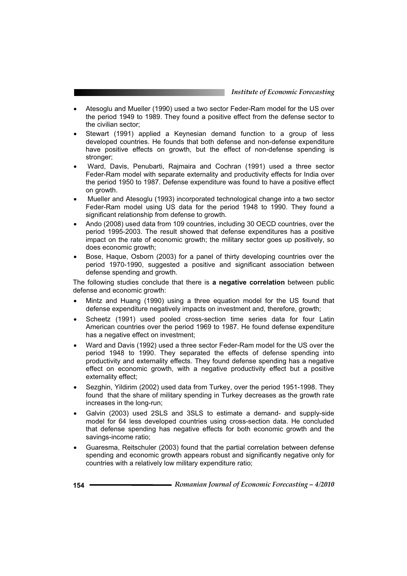- Atesoglu and Mueller (1990) used a two sector Feder-Ram model for the US over the period 1949 to 1989. They found a positive effect from the defense sector to the civilian sector;
- Stewart (1991) applied a Keynesian demand function to a group of less developed countries. He founds that both defense and non-defense expenditure have positive effects on growth, but the effect of non-defense spending is stronger;
- Ward, Davis, Penubarti, Rajmaira and Cochran (1991) used a three sector Feder-Ram model with separate externality and productivity effects for India over the period 1950 to 1987. Defense expenditure was found to have a positive effect on growth.
- x Mueller and Atesoglu (1993) incorporated technological change into a two sector Feder-Ram model using US data for the period 1948 to 1990. They found a significant relationship from defense to growth.
- Ando (2008) used data from 109 countries, including 30 OECD countries, over the period 1995-2003. The result showed that defense expenditures has a positive impact on the rate of economic growth; the military sector goes up positively, so does economic growth;
- Bose, Haque, Osborn (2003) for a panel of thirty developing countries over the period 1970-1990, suggested a positive and significant association between defense spending and growth.

The following studies conclude that there is **a negative correlation** between public defense and economic growth:

- Mintz and Huang (1990) using a three equation model for the US found that defense expenditure negatively impacts on investment and, therefore, growth;
- Scheetz (1991) used pooled cross-section time series data for four Latin American countries over the period 1969 to 1987. He found defense expenditure has a negative effect on investment:
- x Ward and Davis (1992) used a three sector Feder-Ram model for the US over the period 1948 to 1990. They separated the effects of defense spending into productivity and externality effects. They found defense spending has a negative effect on economic growth, with a negative productivity effect but a positive externality effect;
- Sezghin, Yildirim (2002) used data from Turkey, over the period 1951-1998. They found that the share of military spending in Turkey decreases as the growth rate increases in the long-run;
- Galvin (2003) used 2SLS and 3SLS to estimate a demand- and supply-side model for 64 less developed countries using cross-section data. He concluded that defense spending has negative effects for both economic growth and the savings-income ratio;
- Guaresma, Reitschuler (2003) found that the partial correlation between defense spending and economic growth appears robust and significantly negative only for countries with a relatively low military expenditure ratio;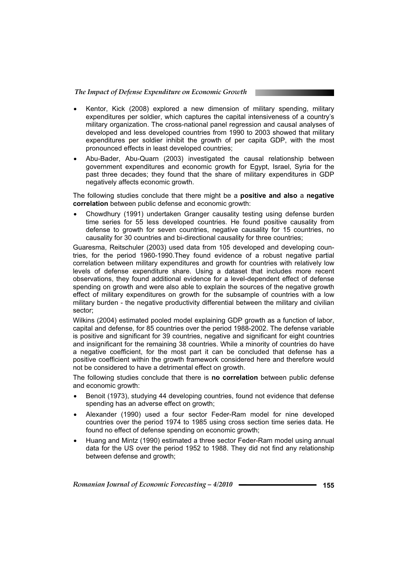- x Kentor, Kick (2008) explored a new dimension of military spending, military expenditures per soldier, which captures the capital intensiveness of a country's military organization. The cross-national panel regression and causal analyses of developed and less developed countries from 1990 to 2003 showed that military expenditures per soldier inhibit the growth of per capita GDP, with the most pronounced effects in least developed countries;
- Abu-Bader, Abu-Quarn (2003) investigated the causal relationship between government expenditures and economic growth for Egypt, Israel, Syria for the past three decades; they found that the share of military expenditures in GDP negatively affects economic growth.

The following studies conclude that there might be a **positive and also** a **negative correlation** between public defense and economic growth:

x Chowdhury (1991) undertaken Granger causality testing using defense burden time series for 55 less developed countries. He found positive causality from defense to growth for seven countries, negative causality for 15 countries, no causality for 30 countries and bi-directional causality for three countries;

Guaresma, Reitschuler (2003) used data from 105 developed and developing countries, for the period 1960-1990.They found evidence of a robust negative partial correlation between military expenditures and growth for countries with relatively low levels of defense expenditure share. Using a dataset that includes more recent observations, they found additional evidence for a level-dependent effect of defense spending on growth and were also able to explain the sources of the negative growth effect of military expenditures on growth for the subsample of countries with a low military burden - the negative productivity differential between the military and civilian sector;

Wilkins (2004) estimated pooled model explaining GDP growth as a function of labor, capital and defense, for 85 countries over the period 1988-2002. The defense variable is positive and significant for 39 countries, negative and significant for eight countries and insignificant for the remaining 38 countries. While a minority of countries do have a negative coefficient, for the most part it can be concluded that defense has a positive coefficient within the growth framework considered here and therefore would not be considered to have a detrimental effect on growth.

The following studies conclude that there is **no correlation** between public defense and economic growth:

- Benoit (1973), studying 44 developing countries, found not evidence that defense spending has an adverse effect on growth;
- Alexander (1990) used a four sector Feder-Ram model for nine developed countries over the period 1974 to 1985 using cross section time series data. He found no effect of defense spending on economic growth;
- Huang and Mintz (1990) estimated a three sector Feder-Ram model using annual data for the US over the period 1952 to 1988. They did not find any relationship between defense and growth;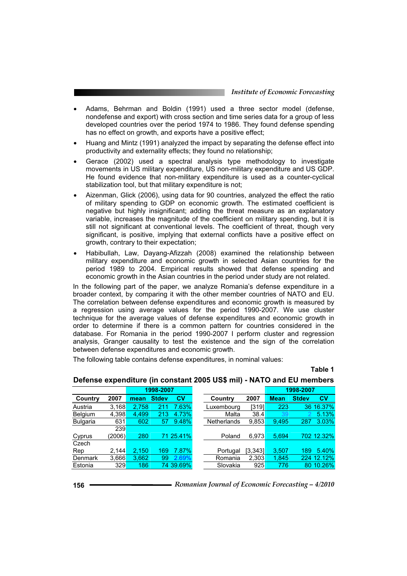- x Adams, Behrman and Boldin (1991) used a three sector model (defense, nondefense and export) with cross section and time series data for a group of less developed countries over the period 1974 to 1986. They found defense spending has no effect on growth, and exports have a positive effect;
- Huang and Mintz (1991) analyzed the impact by separating the defense effect into productivity and externality effects; they found no relationship;
- Gerace (2002) used a spectral analysis type methodology to investigate movements in US military expenditure, US non-military expenditure and US GDP. He found evidence that non-military expenditure is used as a counter-cyclical stabilization tool, but that military expenditure is not;
- Aizenman, Glick (2006), using data for 90 countries, analyzed the effect the ratio of military spending to GDP on economic growth. The estimated coefficient is negative but highly insignificant; adding the threat measure as an explanatory variable, increases the magnitude of the coefficient on military spending, but it is still not significant at conventional levels. The coefficient of threat, though very significant, is positive, implying that external conflicts have a positive effect on growth, contrary to their expectation;
- x Habibullah, Law, Dayang-Afizzah (2008) examined the relationship between military expenditure and economic growth in selected Asian countries for the period 1989 to 2004. Empirical results showed that defense spending and economic growth in the Asian countries in the period under study are not related.

In the following part of the paper, we analyze Romania's defense expenditure in a broader context, by comparing it with the other member countries of NATO and EU. The correlation between defense expenditures and economic growth is measured by a regression using average values for the period 1990-2007. We use cluster technique for the average values of defense expenditures and economic growth in order to determine if there is a common pattern for countries considered in the database. For Romania in the period 1990-2007 I perform cluster and regression analysis, Granger causality to test the existence and the sign of the correlation between defense expenditures and economic growth.

The following table contains defense expenditures, in nominal values:

**Table 1**

|                 |            | 1998-2007 |              |           |                    |         | 1998-2007   |              |            |
|-----------------|------------|-----------|--------------|-----------|--------------------|---------|-------------|--------------|------------|
| Country         | 2007       | mean      | <b>Stdev</b> | <b>CV</b> | Country            | 2007    | <b>Mean</b> | <b>Stdev</b> | <b>CV</b>  |
| Austria         | 3,168      | 2.758     | 211          | 7.63%     | Luxembourg         | [319]   | 223         |              | 36 16.37%  |
| <b>Belgium</b>  | 4.398      | 4.499     | 213          | 4.73%     | Malta              | 38.4    | 39          |              | 5.13%      |
| <b>Bulgaria</b> | 631        | 602       | 57           | 9.48%     | <b>Netherlands</b> | 9,853   | 9.495       | 287          | 3.03%      |
|                 | <b>239</b> |           |              |           |                    |         |             |              |            |
| Cyprus          | (2006)     | 280       |              | 71 25.41% | Poland             | 6,973   | 5,694       |              | 702 12.32% |
| Czech           |            |           |              |           |                    |         |             |              |            |
| Rep             | 2,144      | 2,150     | 169          | 7.87%     | Portugal           | [3,343] | 3,507       | 189          | 5.40%      |
| Denmark         | 3,666      | 3.662     | 99           | 2.69%     | Romania            | 2,303   | 1,845       |              | 224 12.12% |
| Estonia         | 329        | 186       |              | 74 39.69% | Slovakia           | 925     | 776         |              | 80 10.26%  |

### **Defense expenditure (in constant 2005 US\$ mil) - NATO and EU members**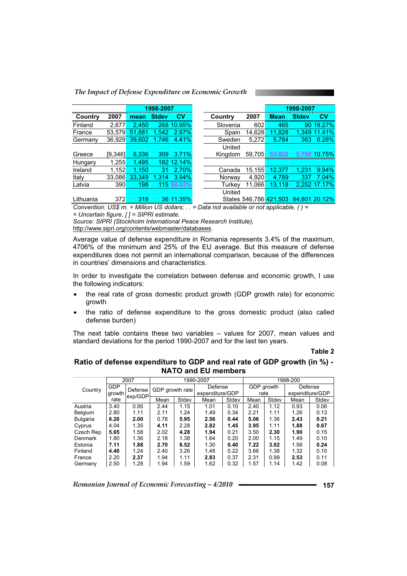| The Impact of Defense Expenditure on Economic Growth |  |
|------------------------------------------------------|--|
|------------------------------------------------------|--|

|           |          | 1998-2007 |              |            |          |         | 1998-2007              |              |               |
|-----------|----------|-----------|--------------|------------|----------|---------|------------------------|--------------|---------------|
| Country   | 2007     | mean      | <b>Stdev</b> | <b>CV</b>  | Country  | 2007    | <b>Mean</b>            | <b>Stdev</b> | $c_{V}$       |
| Finland   | 2,677    | 2.450     |              | 268 10.95% | Slovenia | 602     | 465                    | 90           | 19.27%        |
| France    | 53.579   | 51.881    | 1,542        | 2.97%      | Spain    | 14.628  | 11.828                 |              | 1.349 11.41%  |
| Germany   | 36.929   | 39.602    | 1.746        | 4.41%      | Sweden   | 5.272   | 5.784                  | 363          | 6.28%         |
|           |          |           |              |            | United   |         |                        |              |               |
| Greece    | [9, 346] | 8,336     | 309          | 3.71%      | Kingdom  | 59,705  | 53,922                 |              | 5,798 10.75%  |
| Hungary   | 1,255    | 1,495     |              | 182 12.14% |          |         |                        |              |               |
| Ireland   | 1,152    | 1.150     | 31           | 2.70%      | Canada   | 15, 155 | 12,377                 | 1.231        | 9.94%         |
| Italy     | 33,086   | 33.349    | 1.314        | 3.94%      | Norway   | 4.920   | 4.789                  | 337          | $7.04\%$      |
| Latvia    | 390      | 198       |              | 115 58.03% | Turkev   | 11.066  | 13.118                 |              | 2.252 17.17%  |
|           |          |           |              |            | United   |         |                        |              |               |
| Lithuania | 372      | 318       |              | 36 11.35%  |          |         | States 546.786 421.503 |              | 84.801 20.12% |

*Convention: US\$ m. = Million US dollars; . . = Data not available or not applicable, ( ) = = Uncertain figure, [ ] = SIPRI estimate.* 

*Source: SIPRI (Stockholm International Peace Research Institute),* 

http://www.sipri.org/contents/webmaster/databases*.*

Average value of defense expenditure in Romania represents 3.4% of the maximum, 4706% of the minimum and 25% of the EU average. But this measure of defense expenditures does not permit an international comparison, because of the differences in countries' dimensions and characteristics.

In order to investigate the correlation between defense and economic growth, I use the following indicators:

- the real rate of gross domestic product growth (GDP growth rate) for economic growth
- x the ratio of defense expenditure to the gross domestic product (also called defense burden)

The next table contains these two variables – values for 2007, mean values and standard deviations for the period 1990-2007 and for the last ten years.

#### **Table 2**

### **Ratio of defense expenditure to GDP and real rate of GDP growth (in %) - NATO and EU members**

|                 | 2007       |                    | 1990-2007       |       |                 |       | 1998-200   |       |                 |       |
|-----------------|------------|--------------------|-----------------|-------|-----------------|-------|------------|-------|-----------------|-------|
|                 | <b>GDP</b> |                    | GDP growth rate |       | Defense         |       | GDP growth |       | Defense         |       |
| Country         | growth     | Defense<br>exp/GDP |                 |       | expenditure/GDP |       | rate       |       | expenditure/GDP |       |
|                 | rate       |                    | Mean            | Stdev | Mean            | Stdev | Mean       | Stdev | Mean            | Stdev |
| Austria         | 3.40       | 0.95               | 2.44            | 1.15  | 1.01            | 0.10  | 2.40       | 1.12  | 0.93            | 0.06  |
| Belgium         | 2.80       | 1.11               | 2.11            | 1.24  | 1.49            | 0.34  | 2.21       | 1.11  | 1.26            | 0.13  |
| <b>Bulgaria</b> | 6.20       | 2.00               | 0.78            | 5.95  | 2.56            | 0.44  | 5.06       | 1.36  | 2.43            | 0.21  |
| Cyprus          | 4.04       | 1.35               | 4.11            | 2.28  | 2.82            | 1.45  | 3.95       | 1.11  | 1.88            | 0.67  |
| Czech Rep       | 5.65       | 1.58               | 2.02            | 4.28  | 1.94            | 0.21  | 3.50       | 2.30  | 1.90            | 0.15  |
| Denmark         | 1.80       | 1.36               | 2.18            | 1.38  | 1.64            | 0.20  | 2.00       | 1.15  | 1.49            | 0.10  |
| Estonia         | 7.11       | 1.88               | 2.70            | 8.52  | 1.30            | 0.40  | 7.22       | 3.02  | 1.56            | 0.24  |
| Finland         | 4.40       | 1.24               | 2.40            | 3.26  | 1.48            | 0.22  | 3.66       | 1.38  | 1.32            | 0.10  |
| France          | 2.20       | 2.37               | 1.94            | 1.11  | 2.83            | 0.37  | 2.31       | 0.99  | 2.53            | 0.11  |
| Germany         | 2.50       | 1.28               | 1.94            | 1.59  | 1.62            | 0.32  | 1.57       | 1.14  | 1.42            | 0.08  |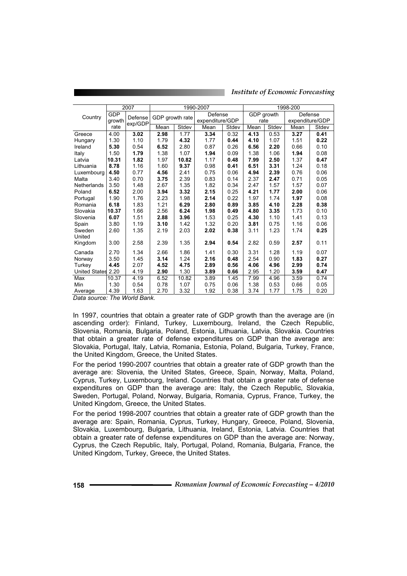|                    |            | 2007    | 1990-2007       |       |                 |         | 1998-200 |            |                 |       |
|--------------------|------------|---------|-----------------|-------|-----------------|---------|----------|------------|-----------------|-------|
| Country            | <b>GDP</b> | Defense | GDP growth rate |       |                 | Defense |          | GDP growth | Defense         |       |
|                    | arowth     | exp/GDP |                 |       | expenditure/GDP |         | rate     |            | expenditure/GDP |       |
|                    | rate       |         | Mean            | Stdev | Mean            | Stdev   | Mean     | Stdev      | Mean            | Stdev |
| Greece             | 4.00       | 3.02    | 2.98            | 1.77  | 3.34            | 0.32    | 4.13     | 0.53       | 3.27            | 0.41  |
| Hungary            | 1.30       | 1.10    | 1.79            | 4.32  | 1.77            | 0.44    | 4.10     | 1.07       | 1.51            | 0.22  |
| Ireland            | 5.30       | 0.54    | 6.52            | 2.80  | 0.87            | 0.26    | 6.56     | 2.20       | 0.66            | 0.10  |
| Italy              | 1.50       | 1.79    | 1.38            | 1.07  | 1.94            | 0.09    | 1.38     | 1.06       | 1.94            | 0.08  |
| Latvia             | 10.31      | 1.82    | 1.97            | 10.82 | 1.17            | 0.48    | 7.99     | 2.50       | 1.37            | 0.47  |
| Lithuania          | 8.78       | 1.16    | 1.60            | 9.37  | 0.98            | 0.41    | 6.51     | 3.31       | 1.24            | 0.18  |
| Luxembourg         | 4.50       | 0.77    | 4.56            | 2.41  | 0.75            | 0.06    | 4.94     | 2.39       | 0.76            | 0.06  |
| Malta              | 3.40       | 0.70    | 3.75            | 2.39  | 0.83            | 0.14    | 2.37     | 2.47       | 0.71            | 0.05  |
| Netherlands        | 3.50       | 1.48    | 2.67            | 1.35  | 1.82            | 0.34    | 2.47     | 1.57       | 1.57            | 0.07  |
| Poland             | 6.52       | 2.00    | 3.94            | 3.32  | 2.15            | 0.25    | 4.21     | 1.77       | 2.00            | 0.06  |
| Portugal           | 1.90       | 1.76    | 2.23            | 1.98  | 2.14            | 0.22    | 1.97     | 1.74       | 1.97            | 0.08  |
| Romania            | 6.18       | 1.83    | 1.21            | 6.29  | 2.80            | 0.89    | 3.85     | 4.10       | 2.28            | 0.38  |
| Slovakia           | 10.37      | 1.66    | 2.56            | 6.24  | 1.98            | 0.49    | 4.80     | 3.35       | 1.73            | 0.10  |
| Slovenia           | 6.07       | 1.51    | 2.88            | 3.96  | 1.53            | 0.25    | 4.30     | 1.10       | 1.41            | 0.13  |
| Spain              | 3.80       | 1.19    | 3.10            | 1.42  | 1.32            | 0.20    | 3.81     | 0.75       | 1.16            | 0.06  |
| Sweden             | 2.60       | 1.35    | 2.19            | 2.03  | 2.02            | 0.38    | 3.11     | 1.23       | 1.74            | 0.25  |
| United             |            |         |                 |       |                 |         |          |            |                 |       |
| Kingdom            | 3.00       | 2.58    | 2.39            | 1.35  | 2.94            | 0.54    | 2.82     | 0.59       | 2.57            | 0.11  |
| Canada             | 2.70       | 1.34    | 2.66            | 1.86  | 1.41            | 0.30    | 3.31     | 1.28       | 1.19            | 0.07  |
| Norway             | 3.50       | 1.45    | 3.14            | 1.24  | 2.16            | 0.48    | 2.54     | 0.90       | 1.83            | 0.27  |
| Turkey             | 4.45       | 2.07    | 4.52            | 4.75  | 2.89            | 0.56    | 4.06     | 4.96       | 2.99            | 0.74  |
| United States 2.20 |            | 4.19    | 2.90            | 1.30  | 3.89            | 0.66    | 2.95     | 1.20       | 3.59            | 0.47  |
| Max                | 10.37      | 4.19    | 6.52            | 10.82 | 3.89            | 1.45    | 7.99     | 4.96       | 3.59            | 0.74  |
| Min                | 1.30       | 0.54    | 0.78            | 1.07  | 0.75            | 0.06    | 1.38     | 0.53       | 0.66            | 0.05  |
| Average            | 4.39       | 1.63    | 2.70            | 3.32  | 1.92            | 0.38    | 3.74     | 1.77       | 1.75            | 0.20  |

*Institute of Economic Forecasting*

*Data source: The World Bank.* 

In 1997, countries that obtain a greater rate of GDP growth than the average are (in ascending order): Finland, Turkey, Luxembourg, Ireland, the Czech Republic, Slovenia, Romania, Bulgaria, Poland, Estonia, Lithuania, Latvia, Slovakia. Countries that obtain a greater rate of defense expenditures on GDP than the average are: Slovakia, Portugal, Italy, Latvia, Romania, Estonia, Poland, Bulgaria, Turkey, France, the United Kingdom, Greece, the United States.

For the period 1990-2007 countries that obtain a greater rate of GDP growth than the average are: Slovenia, the United States, Greece, Spain, Norway, Malta, Poland, Cyprus, Turkey, Luxembourg, Ireland. Countries that obtain a greater rate of defense expenditures on GDP than the average are: Italy, the Czech Republic, Slovakia, Sweden, Portugal, Poland, Norway, Bulgaria, Romania, Cyprus, France, Turkey, the United Kingdom, Greece, the United States.

For the period 1998-2007 countries that obtain a greater rate of GDP growth than the average are: Spain, Romania, Cyprus, Turkey, Hungary, Greece, Poland, Slovenia, Slovakia, Luxembourg, Bulgaria, Lithuania, Ireland, Estonia, Latvia. Countries that obtain a greater rate of defense expenditures on GDP than the average are: Norway, Cyprus, the Czech Republic, Italy, Portugal, Poland, Romania, Bulgaria, France, the United Kingdom, Turkey, Greece, the United States.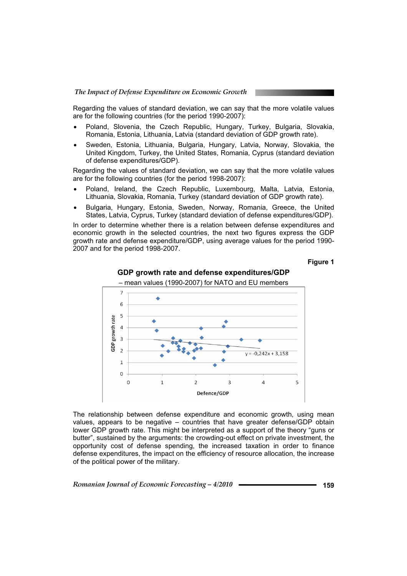Regarding the values of standard deviation, we can say that the more volatile values are for the following countries (for the period 1990-2007):

- Poland, Slovenia, the Czech Republic, Hungary, Turkey, Bulgaria, Slovakia, Romania, Estonia, Lithuania, Latvia (standard deviation of GDP growth rate).
- Sweden, Estonia, Lithuania, Bulgaria, Hungary, Latvia, Norway, Slovakia, the United Kingdom, Turkey, the United States, Romania, Cyprus (standard deviation of defense expenditures/GDP).

Regarding the values of standard deviation, we can say that the more volatile values are for the following countries (for the period 1998-2007):

- Poland, Ireland, the Czech Republic, Luxembourg, Malta, Latvia, Estonia, Lithuania, Slovakia, Romania, Turkey (standard deviation of GDP growth rate).
- x Bulgaria, Hungary, Estonia, Sweden, Norway, Romania, Greece, the United States, Latvia, Cyprus, Turkey (standard deviation of defense expenditures/GDP).

In order to determine whether there is a relation between defense expenditures and economic growth in the selected countries, the next two figures express the GDP growth rate and defense expenditure/GDP, using average values for the period 1990- 2007 and for the period 1998-2007.

**Figure 1** 



#### **GDP growth rate and defense expenditures/GDP**

The relationship between defense expenditure and economic growth, using mean values, appears to be negative – countries that have greater defense/GDP obtain lower GDP growth rate. This might be interpreted as a support of the theory "guns or butter", sustained by the arguments: the crowding-out effect on private investment, the opportunity cost of defense spending, the increased taxation in order to finance defense expenditures, the impact on the efficiency of resource allocation, the increase of the political power of the military.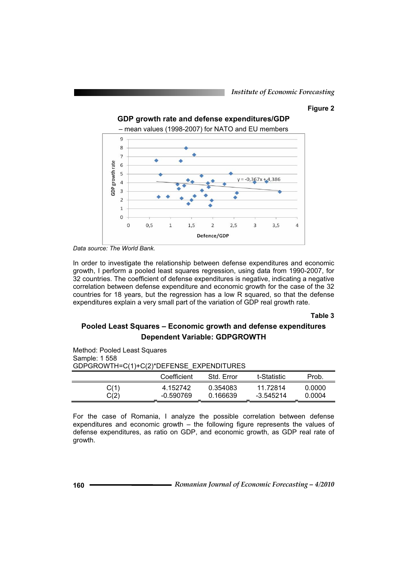### **Figure 2**



*Data source: The World Bank.* 

In order to investigate the relationship between defense expenditures and economic growth, I perform a pooled least squares regression, using data from 1990-2007, for 32 countries. The coefficient of defense expenditures is negative, indicating a negative correlation between defense expenditure and economic growth for the case of the 32 countries for 18 years, but the regression has a low R squared, so that the defense expenditures explain a very small part of the variation of GDP real growth rate.

**Table 3** 

### **Pooled Least Squares – Economic growth and defense expenditures Dependent Variable: GDPGROWTH**

| Method: Pooled Least Squares |                                          |            |             |        |  |  |  |  |  |  |
|------------------------------|------------------------------------------|------------|-------------|--------|--|--|--|--|--|--|
| Sample: 1 558                |                                          |            |             |        |  |  |  |  |  |  |
|                              | GDPGROWTH=C(1)+C(2)*DEFENSE EXPENDITURES |            |             |        |  |  |  |  |  |  |
|                              | Coefficient                              | Std. Error | t-Statistic | Prob.  |  |  |  |  |  |  |
| C(1)                         | 4.152742                                 | 0.354083   | 11.72814    | 0.0000 |  |  |  |  |  |  |
| C(2)                         | $-0.590769$                              | 0.166639   | $-3.545214$ | 0.0004 |  |  |  |  |  |  |

For the case of Romania, I analyze the possible correlation between defense expenditures and economic growth – the following figure represents the values of defense expenditures, as ratio on GDP, and economic growth, as GDP real rate of growth.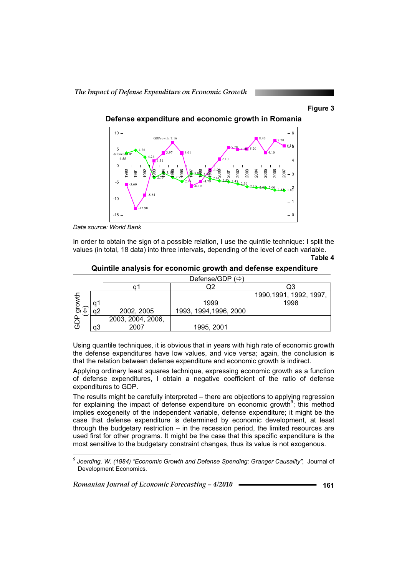### **Figure 3**



**Defense expenditure and economic growth in Romania** 

*Data source: World Bank* 

 $\overline{a}$ 

In order to obtain the sign of a possible relation, I use the quintile technique: I split the values (in total, 18 data) into three intervals, depending of the level of each variable.

 **Quintile analysis for economic growth and defense expenditure** 

|          |    |                   | Defense/GDP (⇔)        |                         |
|----------|----|-------------------|------------------------|-------------------------|
|          |    |                   |                        |                         |
|          |    |                   |                        | 1990, 1991, 1992, 1997, |
|          | a  |                   | 1999                   | 1998                    |
| ರಾ       |    | 2002, 2005        | 1993, 1994, 1996, 2000 |                         |
| $\Omega$ |    | 2003, 2004, 2006, |                        |                         |
| (5)      | aЗ | 2007              | 1995, 2001             |                         |

Using quantile techniques, it is obvious that in years with high rate of economic growth the defense expenditures have low values, and vice versa; again, the conclusion is that the relation between defense expenditure and economic growth is indirect.

Applying ordinary least squares technique, expressing economic growth as a function of defense expenditures, I obtain a negative coefficient of the ratio of defense expenditures to GDP.

The results might be carefully interpreted – there are objections to applying regression for explaining the impact of defense expenditure on economic growth<sup>9</sup>; this method implies exogeneity of the independent variable, defense expenditure; it might be the case that defense expenditure is determined by economic development, at least through the budgetary restriction – in the recession period, the limited resources are used first for other programs. It might be the case that this specific expenditure is the most sensitive to the budgetary constraint changes, thus its value is not exogenous.

**Table 4** 

<sup>&</sup>lt;sup>9</sup> Joerding, W. (1984) "Economic Growth and Defense Spending: Granger Causality", Journal of Development Economics*.*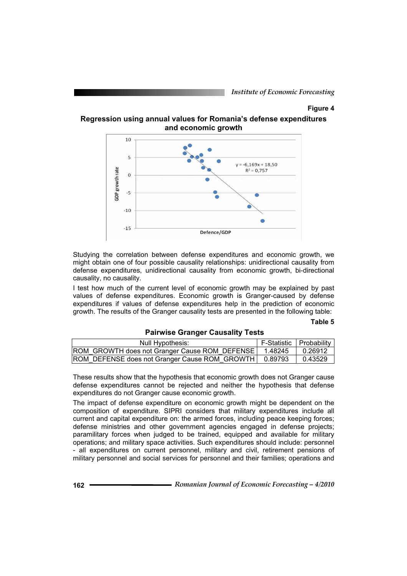### **Figure 4**

**Regression using annual values for Romania's defense expenditures and economic growth** 



Studying the correlation between defense expenditures and economic growth, we might obtain one of four possible causality relationships: unidirectional causality from defense expenditures, unidirectional causality from economic growth, bi-directional causality, no causality.

I test how much of the current level of economic growth may be explained by past values of defense expenditures. Economic growth is Granger-caused by defense expenditures if values of defense expenditures help in the prediction of economic growth. The results of the Granger causality tests are presented in the following table:

### **Table 5**

### **Pairwise Granger Causality Tests**

| Null Hypothesis:                                        | F-Statistic   Probability |         |
|---------------------------------------------------------|---------------------------|---------|
| ROM GROWTH does not Granger Cause ROM DEFENSE           | 1.48245                   | 0.26912 |
| ROM_DEFENSE does not Granger Cause ROM_GROWTH   0.89793 |                           | 0.43529 |

These results show that the hypothesis that economic growth does not Granger cause defense expenditures cannot be rejected and neither the hypothesis that defense expenditures do not Granger cause economic growth.

The impact of defense expenditure on economic growth might be dependent on the composition of expenditure. SIPRI considers that military expenditures include all current and capital expenditure on: the armed forces, including peace keeping forces; defense ministries and other government agencies engaged in defense projects; paramilitary forces when judged to be trained, equipped and available for military operations; and military space activities. Such expenditures should include: personnel - all expenditures on current personnel, military and civil, retirement pensions of military personnel and social services for personnel and their families; operations and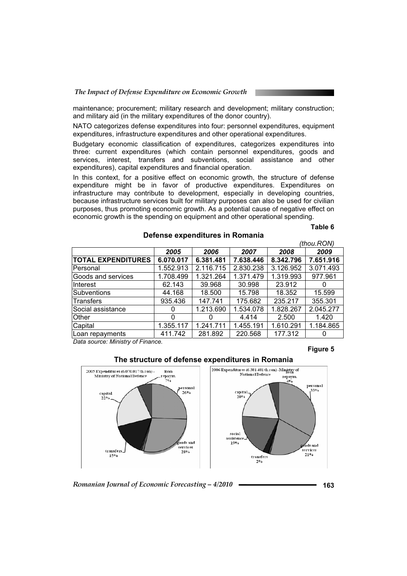maintenance; procurement; military research and development; military construction; and military aid (in the military expenditures of the donor country).

NATO categorizes defense expenditures into four: personnel expenditures, equipment expenditures, infrastructure expenditures and other operational expenditures.

Budgetary economic classification of expenditures, categorizes expenditures into three: current expenditures (which contain personnel expenditures, goods and services, interest, transfers and subventions, social assistance and other expenditures), capital expenditures and financial operation.

In this context, for a positive effect on economic growth, the structure of defense expenditure might be in favor of productive expenditures. Expenditures on infrastructure may contribute to development, especially in developing countries, because infrastructure services built for military purposes can also be used for civilian purposes, thus promoting economic growth. As a potential cause of negative effect on economic growth is the spending on equipment and other operational spending.

**Defense expenditures in Romania** 

#### **Table 6**

 $\theta$ <sup>th</sup> $\theta$ 

|           |              |           |           | (thou.RUN) |
|-----------|--------------|-----------|-----------|------------|
| 2005      | 2006         | 2007      | 2008      | 2009       |
| 6.070.017 | 6.381.481    | 7.638.446 | 8.342.796 | 7.651.916  |
| 1.552.913 | 2.116.715    | 2.830.238 | 3.126.952 | 3.071.493  |
| 1.708.499 | 1.321.264    | 1.371.479 | 1.319.993 | 977.961    |
| 62.143    | 39.968       | 30.998    | 23.912    |            |
| 44.168    | 18.500       | 15.798    | 18.352    | 15.599     |
| 935.436   | 147.741      | 175.682   | 235.217   | 355.301    |
|           | 1.213.690    | 1.534.078 | 1.828.267 | 2.045.277  |
| 0         | $\mathbf{0}$ | 4.414     | 2.500     | 1.420      |
| 1.355.117 | 1.241.711    | 1.455.191 | 1.610.291 | 1.184.865  |
| 411.742   | 281.892      | 220.568   | 177.312   | 0          |
|           |              |           |           |            |

*Data source: Ministry of Finance.* 

### **Figure 5**

2006 Expenditures (6.381.481 th.ron) -Ministry of 2005 Expenditures (6.070.017th.ron) loan National Defence Ministry of National Defenc epaym<br>7% repaym 404 personal ersonal capita capital 26%  $20%$ social assistence ods and  $19%$ ds and services services transfer  $28%$  $21%$ 15% transfers  $20/6$ 

**The structure of defense expenditures in Romania** 

*Romanian Journal of Economic Forecasting – 4/2010* **163**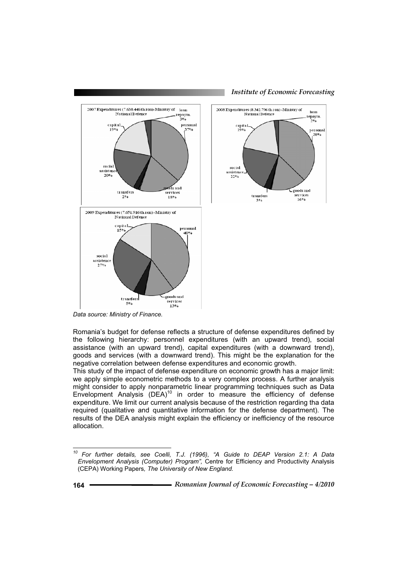

*Institute of Economic Forecasting*

2008 Expenditures (8.342.796 th.ron) -Ministry of loan **National Defence** epaym.<br>2% capital.<br>19% personal social assistenc  $22%$ goods and services transfers  $16%$  $3%$ 

*Data source: Ministry of Finance.* 

Romania's budget for defense reflects a structure of defense expenditures defined by the following hierarchy: personnel expenditures (with an upward trend), social assistance (with an upward trend), capital expenditures (with a downward trend), goods and services (with a downward trend). This might be the explanation for the negative correlation between defense expenditures and economic growth.

This study of the impact of defense expenditure on economic growth has a major limit: we apply simple econometric methods to a very complex process. A further analysis might consider to apply nonparametric linear programming techniques such as Data Envelopment Analysis  $(DEA)^{10}$  in order to measure the efficiency of defense expenditure. We limit our current analysis because of the restriction regarding tha data required (qualitative and quantitative information for the defense department). The results of the DEA analysis might explain the efficiency or inefficiency of the resource allocation.

*<sup>10</sup> For further details, see Coelli, T.J. (1996), "A Guide to DEAP Version 2.1: A Data Envelopment Analysis (Computer) Program",* Centre for Efficiency and Productivity Analysis (CEPA) Working Papers*, The University of New England.*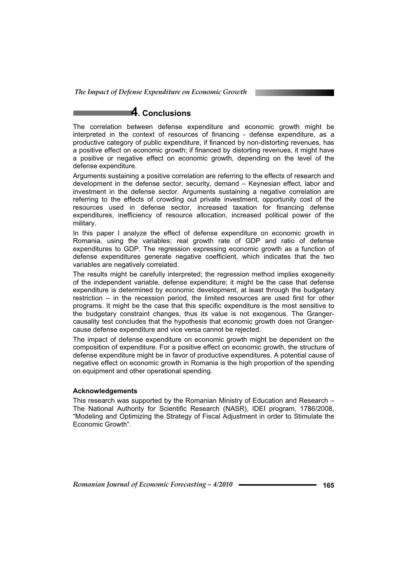## **4. Conclusions**

The correlation between defense expenditure and economic growth might be interpreted in the context of resources of financing - defense expenditure, as a productive category of public expenditure, if financed by non-distorting revenues, has a positive effect on economic growth; if financed by distorting revenues, it might have a positive or negative effect on economic growth, depending on the level of the defense expenditure.

Arguments sustaining a positive correlation are referring to the effects of research and development in the defense sector, security, demand – Keynesian effect, labor and investment in the defense sector. Arguments sustaining a negative correlation are referring to the effects of crowding out private investment, opportunity cost of the resources used in defense sector, increased taxation for financing defense expenditures, inefficiency of resource allocation, increased political power of the military.

In this paper I analyze the effect of defense expenditure on economic growth in Romania, using the variables: real growth rate of GDP and ratio of defense expenditures to GDP. The regression expressing economic growth as a function of defense expenditures generate negative coefficient, which indicates that the two variables are negatively correlated.

The results might be carefully interpreted; the regression method implies exogeneity of the independent variable, defense expenditure; it might be the case that defense expenditure is determined by economic development, at least through the budgetary restriction – in the recession period, the limited resources are used first for other programs. It might be the case that this specific expenditure is the most sensitive to the budgetary constraint changes, thus its value is not exogenous. The Grangercausality test concludes that the hypothesis that economic growth does not Grangercause defense expenditure and vice versa cannot be rejected.

The impact of defense expenditure on economic growth might be dependent on the composition of expenditure. For a positive effect on economic growth, the structure of defense expenditure might be in favor of productive expenditures. A potential cause of negative effect on economic growth in Romania is the high proportion of the spending on equipment and other operational spending.

### **Acknowledgements**

This research was supported by the Romanian Ministry of Education and Research – The National Authority for Scientific Research (NASR), IDEI program, 1786/2008, "Modeling and Optimizing the Strategy of Fiscal Adjustment in order to Stimulate the Economic Growth".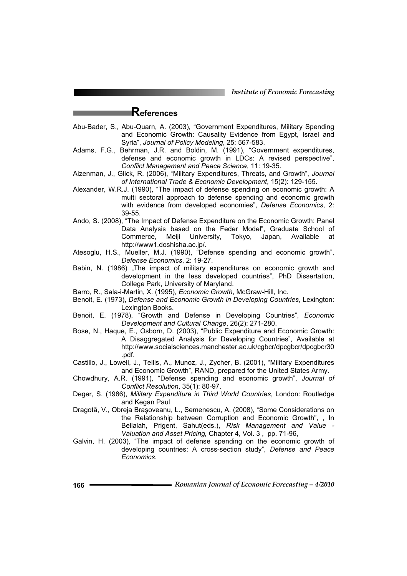*Institute of Economic Forecasting*

### **References**

- Abu-Bader, S., Abu-Quarn, A. (2003), "Government Expenditures, Military Spending and Economic Growth: Causality Evidence from Egypt, Israel and Syria", *Journal of Policy Modeling*, 25: 567-583.
- Adams, F.G., Behrman, J.R. and Boldin, M. (1991), "Government expenditures, defense and economic growth in LDCs: A revised perspective", *Conflict Management and Peace Science*, 11: 19-35.
- Aizenman, J., Glick, R. (2006), "Military Expenditures, Threats, and Growth", *Journal of International Trade & Economic Development*, 15(2): 129-155.
- Alexander, W.R.J. (1990), "The impact of defense spending on economic growth: A multi sectoral approach to defense spending and economic growth with evidence from developed economies", *Defense Economics*, 2: 39-55.
- Ando, S. (2008), "The Impact of Defense Expenditure on the Economic Growth: Panel Data Analysis based on the Feder Model", Graduate School of Commerce, Meiji University, Tokyo, Japan, Available at http://www1.doshisha.ac.jp/.
- Atesoglu, H.S., Mueller, M.J. (1990), "Defense spending and economic growth", *Defense Economics*, 2: 19-27.
- Babin, N. (1986) "The impact of military expenditures on economic growth and development in the less developed countries", PhD Dissertation, College Park, University of Maryland.
- Barro, R., Sala-i-Martin, X. (1995), *Economic Growth*, McGraw-Hill, Inc.
- Benoit, E. (1973), *Defense and Economic Growth in Developing Countries*, Lexington: Lexington Books.
- Benoit, E. (1978), "Growth and Defense in Developing Countries", *Economic Development and Cultural Change*, 26(2): 271-280.
- Bose, N., Haque, E., Osborn, D. (2003), "Public Expenditure and Economic Growth: A Disaggregated Analysis for Developing Countries", Available at http://www.socialsciences.manchester.ac.uk/cgbcr/dpcgbcr/dpcgbcr30 .pdf.
- Castillo, J., Lowell, J., Tellis, A., Munoz, J., Zycher, B. (2001), "Military Expenditures and Economic Growth", RAND, prepared for the United States Army.
- Chowdhury, A.R. (1991), "Defense spending and economic growth", *Journal of Conflict Resolution*, 35(1): 80-97.
- Deger, S. (1986), *Military Expenditure in Third World Countries*, London: Routledge and Kegan Paul
- Dragotă, V., Obreja Brașoveanu, L., Semenescu, A. (2008), "Some Considerations on the Relationship between Corruption and Economic Growth", , In Bellalah, Prigent, Sahut(eds.), *Risk Management and Value - Valuation and Asset Pricing,* Chapter 4, Vol. 3 , pp. 71-96,
- Galvin, H. (2003), "The impact of defense spending on the economic growth of developing countries: A cross-section study", *Defense and Peace Economics.*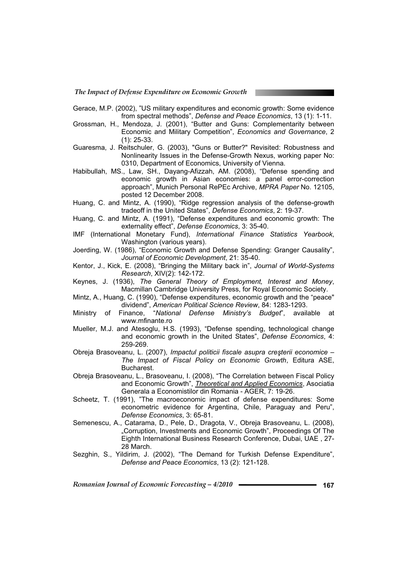- Gerace, M.P. (2002), "US military expenditures and economic growth: Some evidence from spectral methods", *Defense and Peace Economics*, 13 (1): 1-11.
- Grossman, H., Mendoza, J. (2001), "Butter and Guns: Complementarity between Economic and Military Competition", *Economics and Governance*, 2 (1): 25-33.
- Guaresma, J. Reitschuler, G. (2003), "Guns or Butter?" Revisited: Robustness and Nonlinearity Issues in the Defense-Growth Nexus, working paper No: 0310, Department of Economics, University of Vienna.
- Habibullah, MS., Law, SH., Dayang-Afizzah, AM. (2008), "Defense spending and economic growth in Asian economies: a panel error-correction approach", Munich Personal RePEc Archive, *MPRA Paper* No. 12105, posted 12 December 2008.
- Huang, C. and Mintz, A. (1990), "Ridge regression analysis of the defense-growth tradeoff in the United States", *Defense Economics*, 2: 19-37.
- Huang, C. and Mintz, A. (1991), "Defense expenditures and economic growth: The externality effect", *Defense Economics*, 3: 35-40.
- IMF (International Monetary Fund), *International Finance Statistics Yearbook*, Washington (various years).
- Joerding, W. (1986), "Economic Growth and Defense Spending: Granger Causality", *Journal of Economic Development*, 21: 35-40.
- Kentor, J., Kick, E. (2008), "Bringing the Military back in", *Journal of World-Systems Research*, XIV(2): 142-172.
- Keynes, J. (1936), *The General Theory of Employment, Interest and Money*, Macmillan Cambridge University Press, for Royal Economic Society.
- Mintz, A., Huang, C. (1990), "Defense expenditures, economic growth and the "peace" dividend", *American Political Science Review*, 84: 1283-1293.
- Ministry of Finance, "*National Defense Ministry's Budget*", available at www.mfinante.ro
- Mueller, M.J. and Atesoglu, H.S. (1993), "Defense spending, technological change and economic growth in the United States", *Defense Economics*, 4: 259-269.
- Obreja Brasoveanu, L. (2007), *Impactul politicii fiscale asupra creúterii economice The Impact of Fiscal Policy on Economic Growth*, Editura ASE, Bucharest.
- Obreja Brasoveanu, L., Brasoveanu, I. (2008), "The Correlation between Fiscal Policy and Economic Growth", *Theoretical and Applied Economics*, Asociatia Generala a Economistilor din Romania - AGER, 7: 19-26.
- Scheetz, T. (1991), "The macroeconomic impact of defense expenditures: Some econometric evidence for Argentina, Chile, Paraguay and Peru", *Defense Economics*, 3: 65-81.
- Semenescu, A., Catarama, D., Pele, D., Dragota, V., Obreja Brasoveanu, L. (2008), "Corruption, Investments and Economic Growth", Proceedings Of The Eighth International Business Research Conference, Dubai, UAE , 27- 28 March.
- Sezghin, S., Yildirim, J. (2002), "The Demand for Turkish Defense Expenditure", *Defense and Peace Economics*, 13 (2): 121-128.